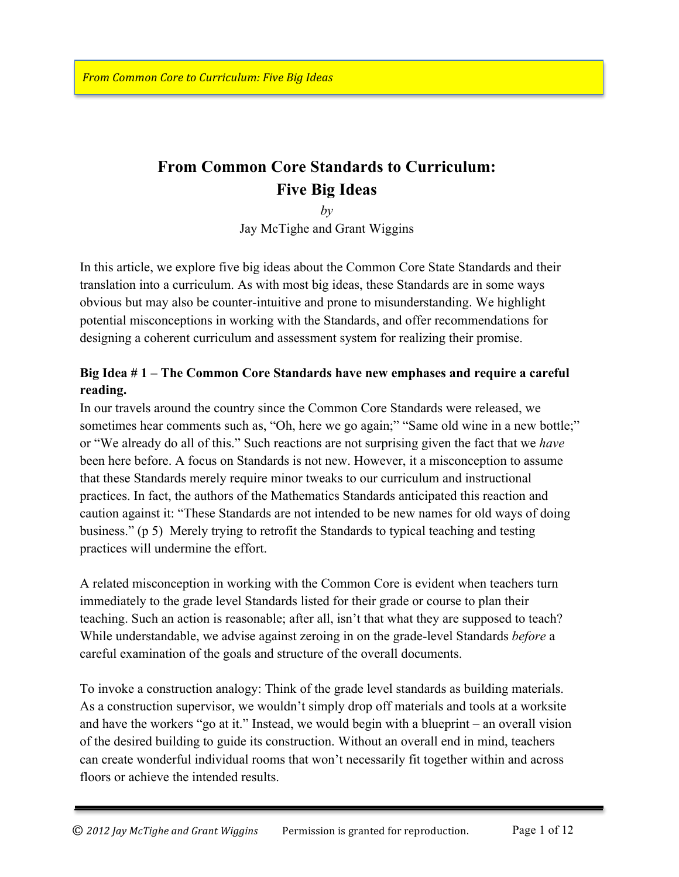# **From Common Core Standards to Curriculum: Five Big Ideas**

*by*

Jay McTighe and Grant Wiggins

In this article, we explore five big ideas about the Common Core State Standards and their translation into a curriculum. As with most big ideas, these Standards are in some ways obvious but may also be counter-intuitive and prone to misunderstanding. We highlight potential misconceptions in working with the Standards, and offer recommendations for designing a coherent curriculum and assessment system for realizing their promise.

## **Big Idea # 1 – The Common Core Standards have new emphases and require a careful reading.**

In our travels around the country since the Common Core Standards were released, we sometimes hear comments such as, "Oh, here we go again;" "Same old wine in a new bottle;" or "We already do all of this." Such reactions are not surprising given the fact that we *have*  been here before. A focus on Standards is not new. However, it a misconception to assume that these Standards merely require minor tweaks to our curriculum and instructional practices. In fact, the authors of the Mathematics Standards anticipated this reaction and caution against it: "These Standards are not intended to be new names for old ways of doing business." (p 5) Merely trying to retrofit the Standards to typical teaching and testing practices will undermine the effort.

A related misconception in working with the Common Core is evident when teachers turn immediately to the grade level Standards listed for their grade or course to plan their teaching. Such an action is reasonable; after all, isn't that what they are supposed to teach? While understandable, we advise against zeroing in on the grade-level Standards *before* a careful examination of the goals and structure of the overall documents.

To invoke a construction analogy: Think of the grade level standards as building materials. As a construction supervisor, we wouldn't simply drop off materials and tools at a worksite and have the workers "go at it." Instead, we would begin with a blueprint – an overall vision of the desired building to guide its construction. Without an overall end in mind, teachers can create wonderful individual rooms that won't necessarily fit together within and across floors or achieve the intended results.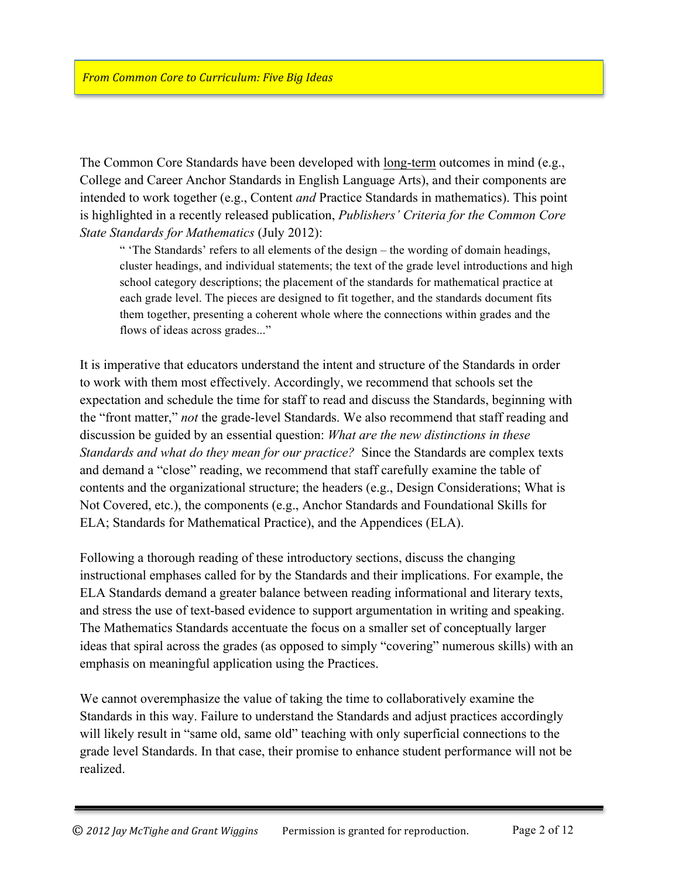The Common Core Standards have been developed with long-term outcomes in mind (e.g., College and Career Anchor Standards in English Language Arts), and their components are intended to work together (e.g., Content *and* Practice Standards in mathematics). This point is highlighted in a recently released publication, *Publishers' Criteria for the Common Core State Standards for Mathematics* (July 2012):

" 'The Standards' refers to all elements of the design – the wording of domain headings, cluster headings, and individual statements; the text of the grade level introductions and high school category descriptions; the placement of the standards for mathematical practice at each grade level. The pieces are designed to fit together, and the standards document fits them together, presenting a coherent whole where the connections within grades and the flows of ideas across grades..."

It is imperative that educators understand the intent and structure of the Standards in order to work with them most effectively. Accordingly, we recommend that schools set the expectation and schedule the time for staff to read and discuss the Standards, beginning with the "front matter," *not* the grade-level Standards. We also recommend that staff reading and discussion be guided by an essential question: *What are the new distinctions in these Standards and what do they mean for our practice?* Since the Standards are complex texts and demand a "close" reading, we recommend that staff carefully examine the table of contents and the organizational structure; the headers (e.g., Design Considerations; What is Not Covered, etc.), the components (e.g., Anchor Standards and Foundational Skills for ELA; Standards for Mathematical Practice), and the Appendices (ELA).

Following a thorough reading of these introductory sections, discuss the changing instructional emphases called for by the Standards and their implications. For example, the ELA Standards demand a greater balance between reading informational and literary texts, and stress the use of text-based evidence to support argumentation in writing and speaking. The Mathematics Standards accentuate the focus on a smaller set of conceptually larger ideas that spiral across the grades (as opposed to simply "covering" numerous skills) with an emphasis on meaningful application using the Practices.

We cannot overemphasize the value of taking the time to collaboratively examine the Standards in this way. Failure to understand the Standards and adjust practices accordingly will likely result in "same old, same old" teaching with only superficial connections to the grade level Standards. In that case, their promise to enhance student performance will not be realized.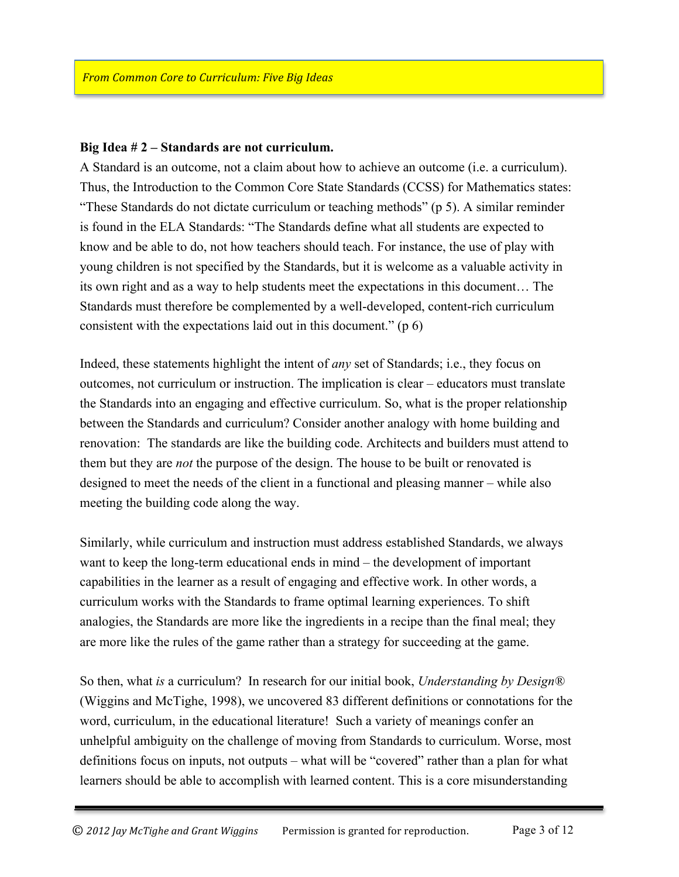#### **Big Idea # 2 – Standards are not curriculum.**

A Standard is an outcome, not a claim about how to achieve an outcome (i.e. a curriculum). Thus, the Introduction to the Common Core State Standards (CCSS) for Mathematics states: "These Standards do not dictate curriculum or teaching methods" (p 5). A similar reminder is found in the ELA Standards: "The Standards define what all students are expected to know and be able to do, not how teachers should teach. For instance, the use of play with young children is not specified by the Standards, but it is welcome as a valuable activity in its own right and as a way to help students meet the expectations in this document… The Standards must therefore be complemented by a well-developed, content-rich curriculum consistent with the expectations laid out in this document." (p 6)

Indeed, these statements highlight the intent of *any* set of Standards; i.e., they focus on outcomes, not curriculum or instruction. The implication is clear – educators must translate the Standards into an engaging and effective curriculum. So, what is the proper relationship between the Standards and curriculum? Consider another analogy with home building and renovation: The standards are like the building code. Architects and builders must attend to them but they are *not* the purpose of the design. The house to be built or renovated is designed to meet the needs of the client in a functional and pleasing manner – while also meeting the building code along the way.

Similarly, while curriculum and instruction must address established Standards, we always want to keep the long-term educational ends in mind – the development of important capabilities in the learner as a result of engaging and effective work. In other words, a curriculum works with the Standards to frame optimal learning experiences. To shift analogies, the Standards are more like the ingredients in a recipe than the final meal; they are more like the rules of the game rather than a strategy for succeeding at the game.

So then, what *is* a curriculum? In research for our initial book, *Understanding by Design®* (Wiggins and McTighe, 1998), we uncovered 83 different definitions or connotations for the word, curriculum, in the educational literature! Such a variety of meanings confer an unhelpful ambiguity on the challenge of moving from Standards to curriculum. Worse, most definitions focus on inputs, not outputs – what will be "covered" rather than a plan for what learners should be able to accomplish with learned content. This is a core misunderstanding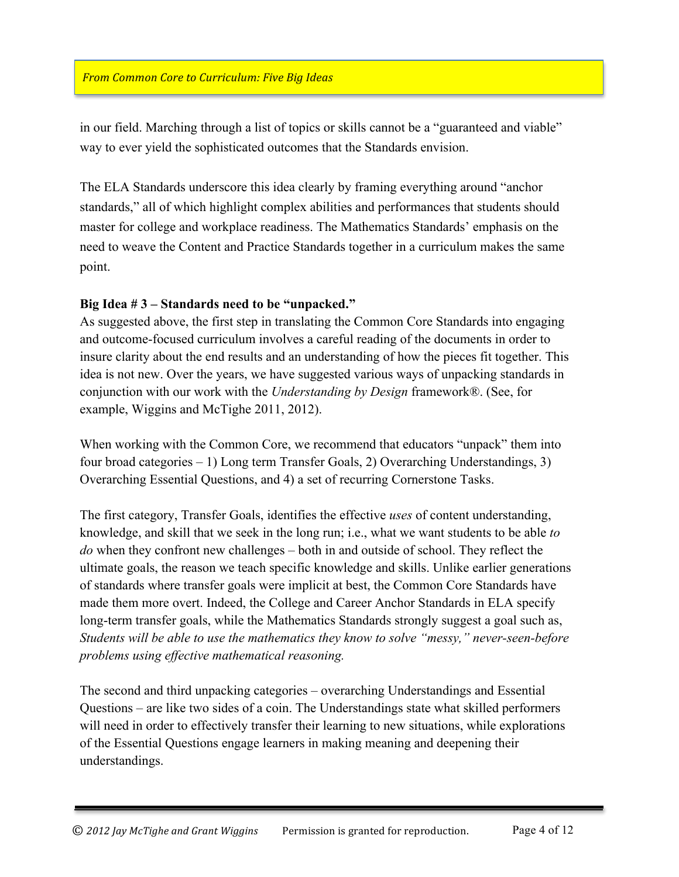in our field. Marching through a list of topics or skills cannot be a "guaranteed and viable" way to ever yield the sophisticated outcomes that the Standards envision.

The ELA Standards underscore this idea clearly by framing everything around "anchor standards," all of which highlight complex abilities and performances that students should master for college and workplace readiness. The Mathematics Standards' emphasis on the need to weave the Content and Practice Standards together in a curriculum makes the same point.

## **Big Idea # 3 – Standards need to be "unpacked."**

As suggested above, the first step in translating the Common Core Standards into engaging and outcome-focused curriculum involves a careful reading of the documents in order to insure clarity about the end results and an understanding of how the pieces fit together. This idea is not new. Over the years, we have suggested various ways of unpacking standards in conjunction with our work with the *Understanding by Design* framework®. (See, for example, Wiggins and McTighe 2011, 2012).

When working with the Common Core, we recommend that educators "unpack" them into four broad categories – 1) Long term Transfer Goals, 2) Overarching Understandings, 3) Overarching Essential Questions, and 4) a set of recurring Cornerstone Tasks.

The first category, Transfer Goals, identifies the effective *uses* of content understanding, knowledge, and skill that we seek in the long run; i.e., what we want students to be able *to do* when they confront new challenges – both in and outside of school. They reflect the ultimate goals, the reason we teach specific knowledge and skills. Unlike earlier generations of standards where transfer goals were implicit at best, the Common Core Standards have made them more overt. Indeed, the College and Career Anchor Standards in ELA specify long-term transfer goals, while the Mathematics Standards strongly suggest a goal such as, *Students will be able to use the mathematics they know to solve "messy," never-seen-before problems using effective mathematical reasoning.*

The second and third unpacking categories – overarching Understandings and Essential Questions – are like two sides of a coin. The Understandings state what skilled performers will need in order to effectively transfer their learning to new situations, while explorations of the Essential Questions engage learners in making meaning and deepening their understandings.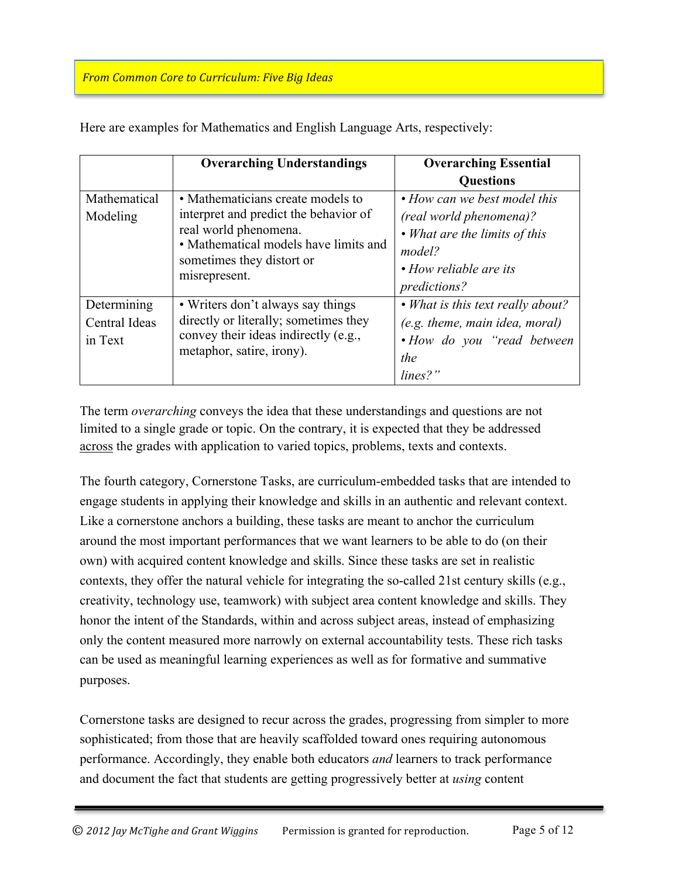|                                         | <b>Overarching Understandings</b>                                                                                                                                                          | <b>Overarching Essential</b><br><b>Questions</b>                                                                                                    |
|-----------------------------------------|--------------------------------------------------------------------------------------------------------------------------------------------------------------------------------------------|-----------------------------------------------------------------------------------------------------------------------------------------------------|
| Mathematical<br>Modeling                | • Mathematicians create models to<br>interpret and predict the behavior of<br>real world phenomena.<br>• Mathematical models have limits and<br>sometimes they distort or<br>misrepresent. | • How can we best model this<br>(real world phenomena)?<br>• What are the limits of this<br>model?<br>• How reliable are its<br><i>predictions?</i> |
| Determining<br>Central Ideas<br>in Text | • Writers don't always say things<br>directly or literally; sometimes they<br>convey their ideas indirectly (e.g.,<br>metaphor, satire, irony).                                            | • What is this text really about?<br>$(e.g.$ theme, main idea, moral)<br>• How do you "read between"<br>the<br>$lines?$ "                           |

Here are examples for Mathematics and English Language Arts, respectively:

The term *overarching* conveys the idea that these understandings and questions are not limited to a single grade or topic. On the contrary, it is expected that they be addressed across the grades with application to varied topics, problems, texts and contexts.

The fourth category, Cornerstone Tasks, are curriculum-embedded tasks that are intended to engage students in applying their knowledge and skills in an authentic and relevant context. Like a cornerstone anchors a building, these tasks are meant to anchor the curriculum around the most important performances that we want learners to be able to do (on their own) with acquired content knowledge and skills. Since these tasks are set in realistic contexts, they offer the natural vehicle for integrating the so-called 21st century skills (e.g., creativity, technology use, teamwork) with subject area content knowledge and skills. They honor the intent of the Standards, within and across subject areas, instead of emphasizing only the content measured more narrowly on external accountability tests. These rich tasks can be used as meaningful learning experiences as well as for formative and summative purposes.

Cornerstone tasks are designed to recur across the grades, progressing from simpler to more sophisticated; from those that are heavily scaffolded toward ones requiring autonomous performance. Accordingly, they enable both educators *and* learners to track performance and document the fact that students are getting progressively better at *using* content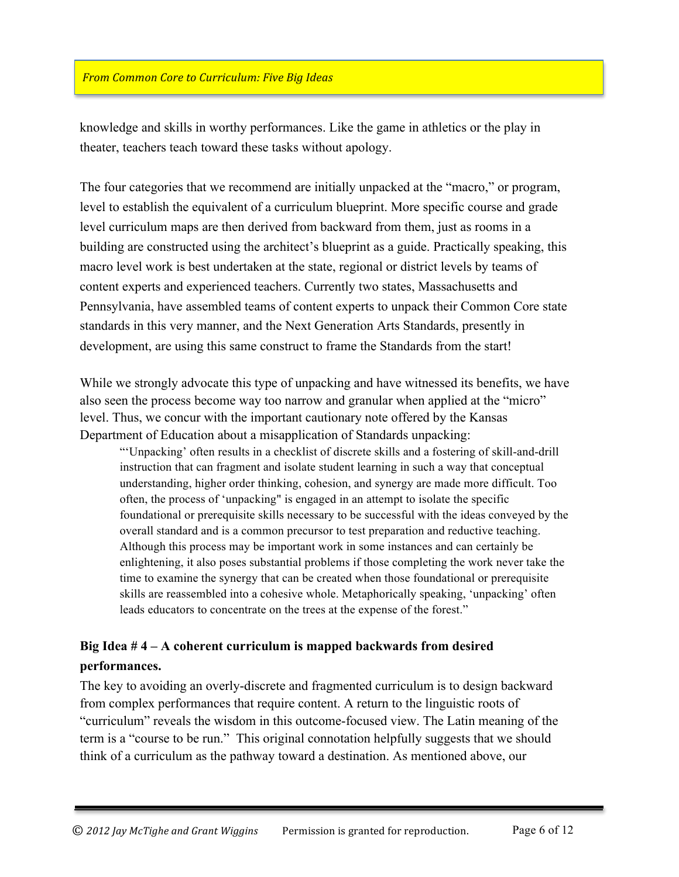knowledge and skills in worthy performances. Like the game in athletics or the play in theater, teachers teach toward these tasks without apology.

The four categories that we recommend are initially unpacked at the "macro," or program, level to establish the equivalent of a curriculum blueprint. More specific course and grade level curriculum maps are then derived from backward from them, just as rooms in a building are constructed using the architect's blueprint as a guide. Practically speaking, this macro level work is best undertaken at the state, regional or district levels by teams of content experts and experienced teachers. Currently two states, Massachusetts and Pennsylvania, have assembled teams of content experts to unpack their Common Core state standards in this very manner, and the Next Generation Arts Standards, presently in development, are using this same construct to frame the Standards from the start!

While we strongly advocate this type of unpacking and have witnessed its benefits, we have also seen the process become way too narrow and granular when applied at the "micro" level. Thus, we concur with the important cautionary note offered by the Kansas Department of Education about a misapplication of Standards unpacking:

"'Unpacking' often results in a checklist of discrete skills and a fostering of skill-and-drill instruction that can fragment and isolate student learning in such a way that conceptual understanding, higher order thinking, cohesion, and synergy are made more difficult. Too often, the process of 'unpacking" is engaged in an attempt to isolate the specific foundational or prerequisite skills necessary to be successful with the ideas conveyed by the overall standard and is a common precursor to test preparation and reductive teaching. Although this process may be important work in some instances and can certainly be enlightening, it also poses substantial problems if those completing the work never take the time to examine the synergy that can be created when those foundational or prerequisite skills are reassembled into a cohesive whole. Metaphorically speaking, 'unpacking' often leads educators to concentrate on the trees at the expense of the forest."

# **Big Idea # 4 – A coherent curriculum is mapped backwards from desired performances.**

The key to avoiding an overly-discrete and fragmented curriculum is to design backward from complex performances that require content. A return to the linguistic roots of "curriculum" reveals the wisdom in this outcome-focused view. The Latin meaning of the term is a "course to be run." This original connotation helpfully suggests that we should think of a curriculum as the pathway toward a destination. As mentioned above, our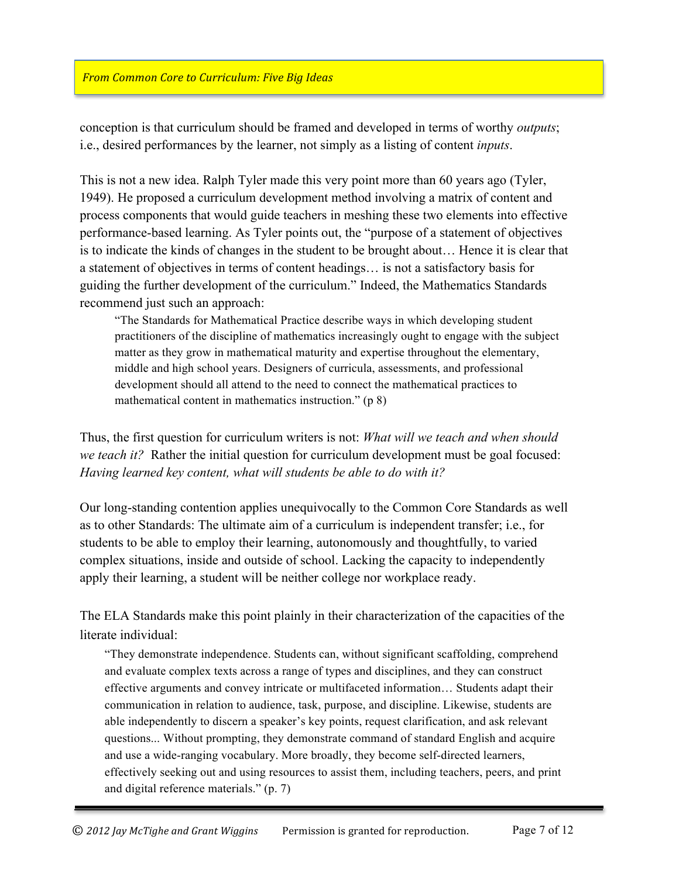conception is that curriculum should be framed and developed in terms of worthy *outputs*; i.e., desired performances by the learner, not simply as a listing of content *inputs*.

This is not a new idea. Ralph Tyler made this very point more than 60 years ago (Tyler, 1949). He proposed a curriculum development method involving a matrix of content and process components that would guide teachers in meshing these two elements into effective performance-based learning. As Tyler points out, the "purpose of a statement of objectives is to indicate the kinds of changes in the student to be brought about… Hence it is clear that a statement of objectives in terms of content headings… is not a satisfactory basis for guiding the further development of the curriculum." Indeed, the Mathematics Standards recommend just such an approach:

"The Standards for Mathematical Practice describe ways in which developing student practitioners of the discipline of mathematics increasingly ought to engage with the subject matter as they grow in mathematical maturity and expertise throughout the elementary, middle and high school years. Designers of curricula, assessments, and professional development should all attend to the need to connect the mathematical practices to mathematical content in mathematics instruction." (p 8)

Thus, the first question for curriculum writers is not: *What will we teach and when should we teach it?* Rather the initial question for curriculum development must be goal focused: *Having learned key content, what will students be able to do with it?*

Our long-standing contention applies unequivocally to the Common Core Standards as well as to other Standards: The ultimate aim of a curriculum is independent transfer; i.e., for students to be able to employ their learning, autonomously and thoughtfully, to varied complex situations, inside and outside of school. Lacking the capacity to independently apply their learning, a student will be neither college nor workplace ready.

The ELA Standards make this point plainly in their characterization of the capacities of the literate individual:

"They demonstrate independence. Students can, without significant scaffolding, comprehend and evaluate complex texts across a range of types and disciplines, and they can construct effective arguments and convey intricate or multifaceted information… Students adapt their communication in relation to audience, task, purpose, and discipline. Likewise, students are able independently to discern a speaker's key points, request clarification, and ask relevant questions... Without prompting, they demonstrate command of standard English and acquire and use a wide-ranging vocabulary. More broadly, they become self-directed learners, effectively seeking out and using resources to assist them, including teachers, peers, and print and digital reference materials." (p. 7)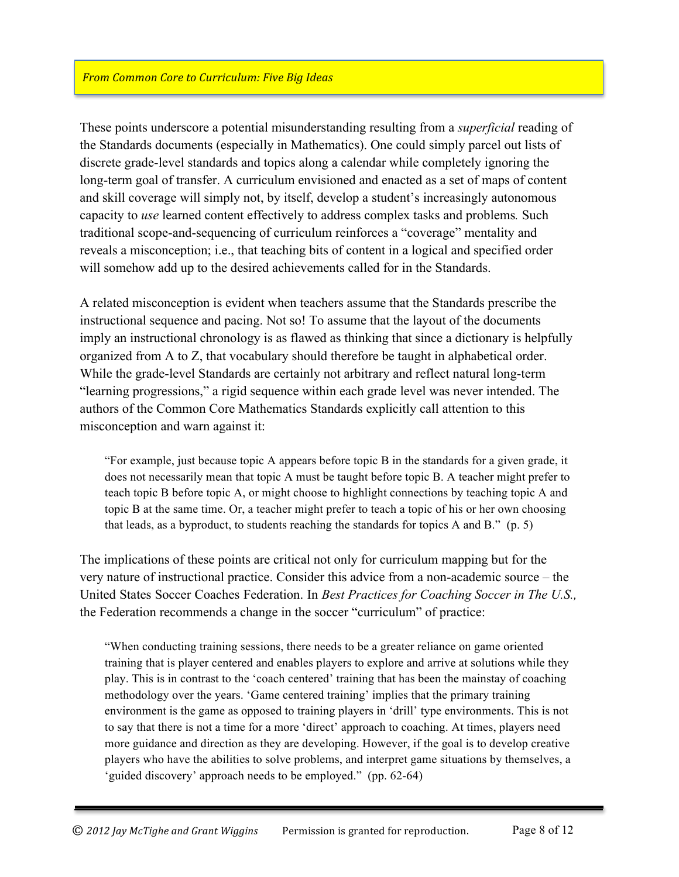These points underscore a potential misunderstanding resulting from a *superficial* reading of the Standards documents (especially in Mathematics). One could simply parcel out lists of discrete grade-level standards and topics along a calendar while completely ignoring the long-term goal of transfer. A curriculum envisioned and enacted as a set of maps of content and skill coverage will simply not, by itself, develop a student's increasingly autonomous capacity to *use* learned content effectively to address complex tasks and problems*.* Such traditional scope-and-sequencing of curriculum reinforces a "coverage" mentality and reveals a misconception; i.e., that teaching bits of content in a logical and specified order will somehow add up to the desired achievements called for in the Standards.

A related misconception is evident when teachers assume that the Standards prescribe the instructional sequence and pacing. Not so! To assume that the layout of the documents imply an instructional chronology is as flawed as thinking that since a dictionary is helpfully organized from A to Z, that vocabulary should therefore be taught in alphabetical order. While the grade-level Standards are certainly not arbitrary and reflect natural long-term "learning progressions," a rigid sequence within each grade level was never intended. The authors of the Common Core Mathematics Standards explicitly call attention to this misconception and warn against it:

"For example, just because topic A appears before topic B in the standards for a given grade, it does not necessarily mean that topic A must be taught before topic B. A teacher might prefer to teach topic B before topic A, or might choose to highlight connections by teaching topic A and topic B at the same time. Or, a teacher might prefer to teach a topic of his or her own choosing that leads, as a byproduct, to students reaching the standards for topics A and B." (p. 5)

The implications of these points are critical not only for curriculum mapping but for the very nature of instructional practice. Consider this advice from a non-academic source – the United States Soccer Coaches Federation. In *Best Practices for Coaching Soccer in The U.S.,*  the Federation recommends a change in the soccer "curriculum" of practice:

"When conducting training sessions, there needs to be a greater reliance on game oriented training that is player centered and enables players to explore and arrive at solutions while they play. This is in contrast to the 'coach centered' training that has been the mainstay of coaching methodology over the years. 'Game centered training' implies that the primary training environment is the game as opposed to training players in 'drill' type environments. This is not to say that there is not a time for a more 'direct' approach to coaching. At times, players need more guidance and direction as they are developing. However, if the goal is to develop creative players who have the abilities to solve problems, and interpret game situations by themselves, a 'guided discovery' approach needs to be employed." (pp. 62-64)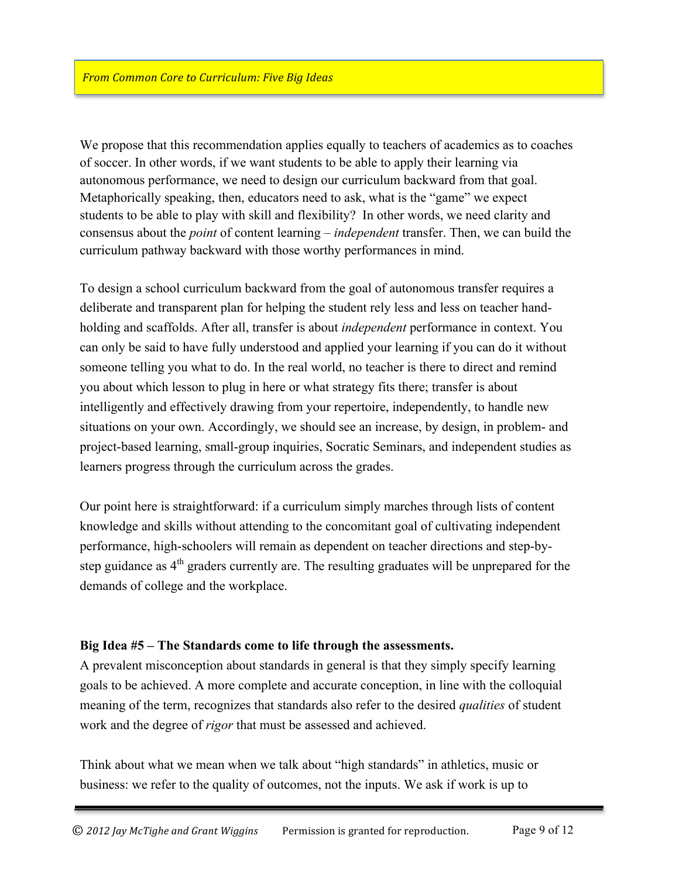We propose that this recommendation applies equally to teachers of academics as to coaches of soccer. In other words, if we want students to be able to apply their learning via autonomous performance, we need to design our curriculum backward from that goal. Metaphorically speaking, then, educators need to ask, what is the "game" we expect students to be able to play with skill and flexibility? In other words, we need clarity and consensus about the *point* of content learning – *independent* transfer. Then, we can build the curriculum pathway backward with those worthy performances in mind.

To design a school curriculum backward from the goal of autonomous transfer requires a deliberate and transparent plan for helping the student rely less and less on teacher handholding and scaffolds. After all, transfer is about *independent* performance in context. You can only be said to have fully understood and applied your learning if you can do it without someone telling you what to do. In the real world, no teacher is there to direct and remind you about which lesson to plug in here or what strategy fits there; transfer is about intelligently and effectively drawing from your repertoire, independently, to handle new situations on your own. Accordingly, we should see an increase, by design, in problem- and project-based learning, small-group inquiries, Socratic Seminars, and independent studies as learners progress through the curriculum across the grades.

Our point here is straightforward: if a curriculum simply marches through lists of content knowledge and skills without attending to the concomitant goal of cultivating independent performance, high-schoolers will remain as dependent on teacher directions and step-bystep guidance as  $4<sup>th</sup>$  graders currently are. The resulting graduates will be unprepared for the demands of college and the workplace.

## **Big Idea #5 – The Standards come to life through the assessments.**

A prevalent misconception about standards in general is that they simply specify learning goals to be achieved. A more complete and accurate conception, in line with the colloquial meaning of the term, recognizes that standards also refer to the desired *qualities* of student work and the degree of *rigor* that must be assessed and achieved.

Think about what we mean when we talk about "high standards" in athletics, music or business: we refer to the quality of outcomes, not the inputs. We ask if work is up to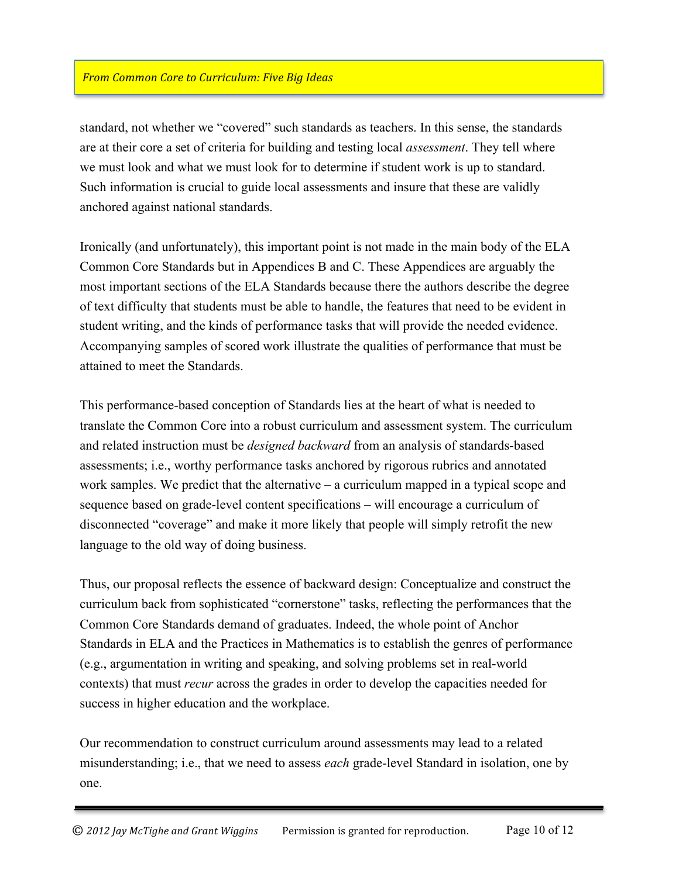standard, not whether we "covered" such standards as teachers. In this sense, the standards are at their core a set of criteria for building and testing local *assessment*. They tell where we must look and what we must look for to determine if student work is up to standard. Such information is crucial to guide local assessments and insure that these are validly anchored against national standards.

Ironically (and unfortunately), this important point is not made in the main body of the ELA Common Core Standards but in Appendices B and C. These Appendices are arguably the most important sections of the ELA Standards because there the authors describe the degree of text difficulty that students must be able to handle, the features that need to be evident in student writing, and the kinds of performance tasks that will provide the needed evidence. Accompanying samples of scored work illustrate the qualities of performance that must be attained to meet the Standards.

This performance-based conception of Standards lies at the heart of what is needed to translate the Common Core into a robust curriculum and assessment system. The curriculum and related instruction must be *designed backward* from an analysis of standards-based assessments; i.e., worthy performance tasks anchored by rigorous rubrics and annotated work samples. We predict that the alternative – a curriculum mapped in a typical scope and sequence based on grade-level content specifications – will encourage a curriculum of disconnected "coverage" and make it more likely that people will simply retrofit the new language to the old way of doing business.

Thus, our proposal reflects the essence of backward design: Conceptualize and construct the curriculum back from sophisticated "cornerstone" tasks, reflecting the performances that the Common Core Standards demand of graduates. Indeed, the whole point of Anchor Standards in ELA and the Practices in Mathematics is to establish the genres of performance (e.g., argumentation in writing and speaking, and solving problems set in real-world contexts) that must *recur* across the grades in order to develop the capacities needed for success in higher education and the workplace.

Our recommendation to construct curriculum around assessments may lead to a related misunderstanding; i.e., that we need to assess *each* grade-level Standard in isolation, one by one.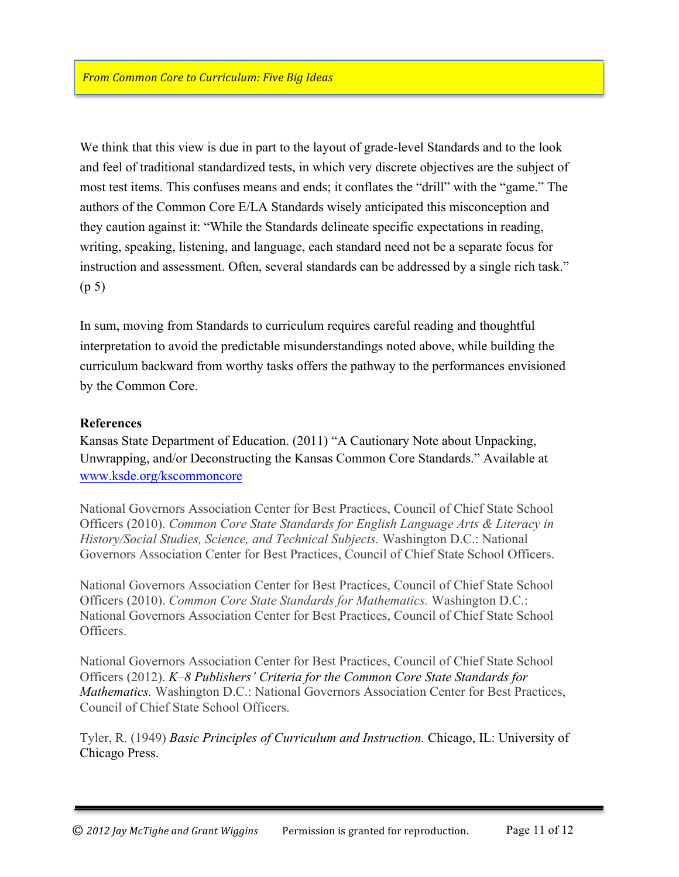We think that this view is due in part to the layout of grade-level Standards and to the look and feel of traditional standardized tests, in which very discrete objectives are the subject of most test items. This confuses means and ends; it conflates the "drill" with the "game." The authors of the Common Core E/LA Standards wisely anticipated this misconception and they caution against it: "While the Standards delineate specific expectations in reading, writing, speaking, listening, and language, each standard need not be a separate focus for instruction and assessment. Often, several standards can be addressed by a single rich task." (p 5)

In sum, moving from Standards to curriculum requires careful reading and thoughtful interpretation to avoid the predictable misunderstandings noted above, while building the curriculum backward from worthy tasks offers the pathway to the performances envisioned by the Common Core.

#### **References**

Kansas State Department of Education. (2011) "A Cautionary Note about Unpacking, Unwrapping, and/or Deconstructing the Kansas Common Core Standards." Available at www.ksde.org/kscommoncore

National Governors Association Center for Best Practices, Council of Chief State School Officers (2010). *Common Core State Standards for English Language Arts & Literacy in History/Social Studies, Science, and Technical Subjects.* Washington D.C.: National Governors Association Center for Best Practices, Council of Chief State School Officers.

National Governors Association Center for Best Practices, Council of Chief State School Officers (2010). *Common Core State Standards for Mathematics.* Washington D.C.: National Governors Association Center for Best Practices, Council of Chief State School **Officers** 

National Governors Association Center for Best Practices, Council of Chief State School Officers (2012). *K–8 Publishers' Criteria for the Common Core State Standards for Mathematics.* Washington D.C.: National Governors Association Center for Best Practices, Council of Chief State School Officers.

Tyler, R. (1949) *Basic Principles of Curriculum and Instruction.* Chicago, IL: University of Chicago Press.